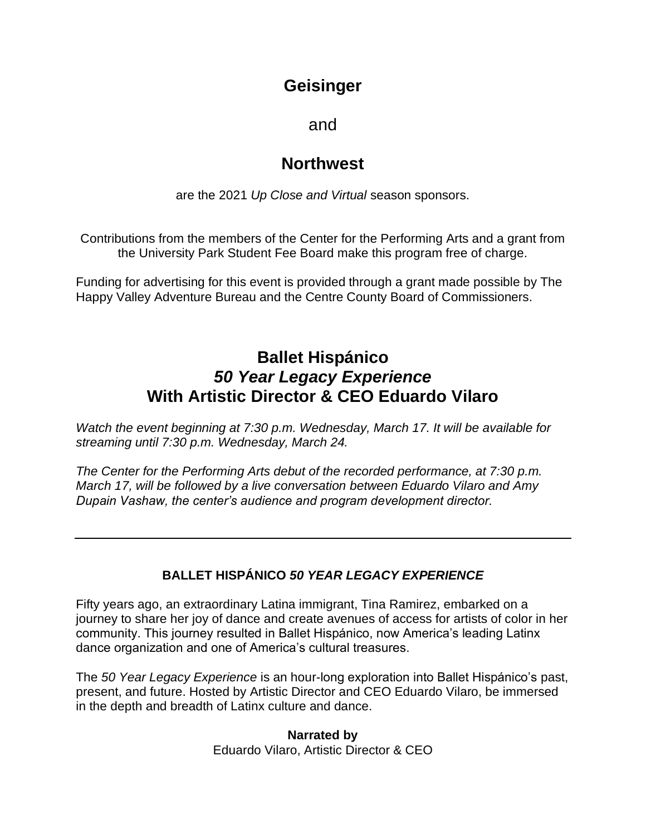# **Geisinger**

and

# **Northwest**

are the 2021 *Up Close and Virtual* season sponsors.

Contributions from the members of the Center for the Performing Arts and a grant from the University Park Student Fee Board make this program free of charge.

Funding for advertising for this event is provided through a grant made possible by The Happy Valley Adventure Bureau and the Centre County Board of Commissioners.

# **Ballet Hispánico** *50 Year Legacy Experience* **With Artistic Director & CEO Eduardo Vilaro**

*Watch the event beginning at 7:30 p.m. Wednesday, March 17. It will be available for streaming until 7:30 p.m. Wednesday, March 24.*

*The Center for the Performing Arts debut of the recorded performance, at 7:30 p.m. March 17, will be followed by a live conversation between Eduardo Vilaro and Amy Dupain Vashaw, the center's audience and program development director.*

### **BALLET HISPÁNICO** *50 YEAR LEGACY EXPERIENCE*

Fifty years ago, an extraordinary Latina immigrant, Tina Ramirez, embarked on a journey to share her joy of dance and create avenues of access for artists of color in her community. This journey resulted in Ballet Hispánico, now America's leading Latinx dance organization and one of America's cultural treasures.

The *50 Year Legacy Experience* is an hour-long exploration into Ballet Hispánico's past, present, and future. Hosted by Artistic Director and CEO Eduardo Vilaro, be immersed in the depth and breadth of Latinx culture and dance.

> **Narrated by** Eduardo Vilaro, Artistic Director & CEO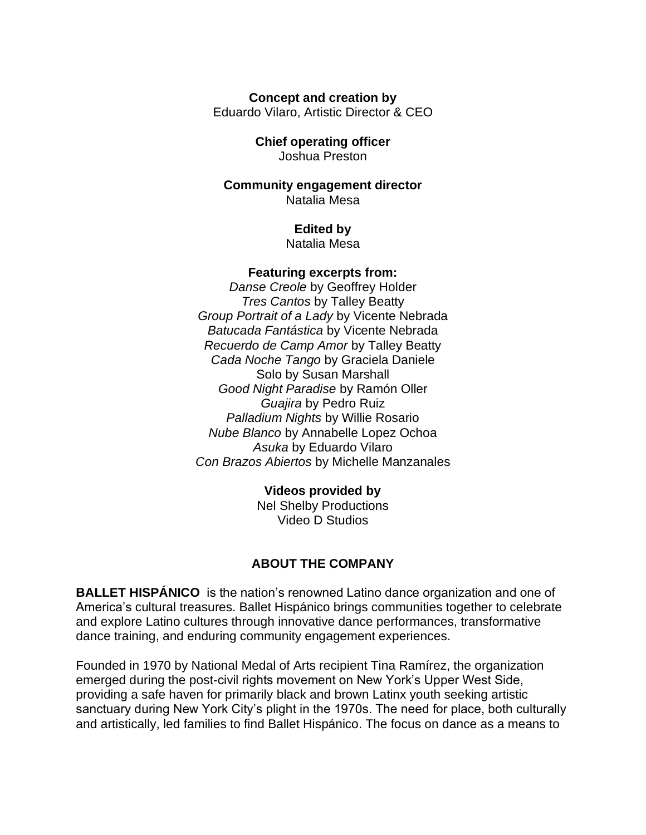#### **Concept and creation by**

Eduardo Vilaro, Artistic Director & CEO

#### **Chief operating officer** Joshua Preston

### **Community engagement director** Natalia Mesa

## **Edited by**

Natalia Mesa

#### **Featuring excerpts from:**

*Danse Creole* by Geoffrey Holder *Tres Cantos* by Talley Beatty *Group Portrait of a Lady* by Vicente Nebrada *Batucada Fantástica* by Vicente Nebrada *Recuerdo de Camp Amor* by Talley Beatty *Cada Noche Tango* by Graciela Daniele Solo by Susan Marshall *Good Night Paradise* by Ramón Oller *Guajira* by Pedro Ruiz *Palladium Nights* by Willie Rosario *Nube Blanco* by Annabelle Lopez Ochoa *Asuka* by Eduardo Vilaro *Con Brazos Abiertos* by Michelle Manzanales

### **Videos provided by**

Nel Shelby Productions Video D Studios

### **ABOUT THE COMPANY**

**BALLET HISPÁNICO** is the nation's renowned Latino dance organization and one of America's cultural treasures. Ballet Hispánico brings communities together to celebrate and explore Latino cultures through innovative dance performances, transformative dance training, and enduring community engagement experiences.

Founded in 1970 by National Medal of Arts recipient Tina Ramírez, the organization emerged during the post-civil rights movement on New York's Upper West Side, providing a safe haven for primarily black and brown Latinx youth seeking artistic sanctuary during New York City's plight in the 1970s. The need for place, both culturally and artistically, led families to find Ballet Hispánico. The focus on dance as a means to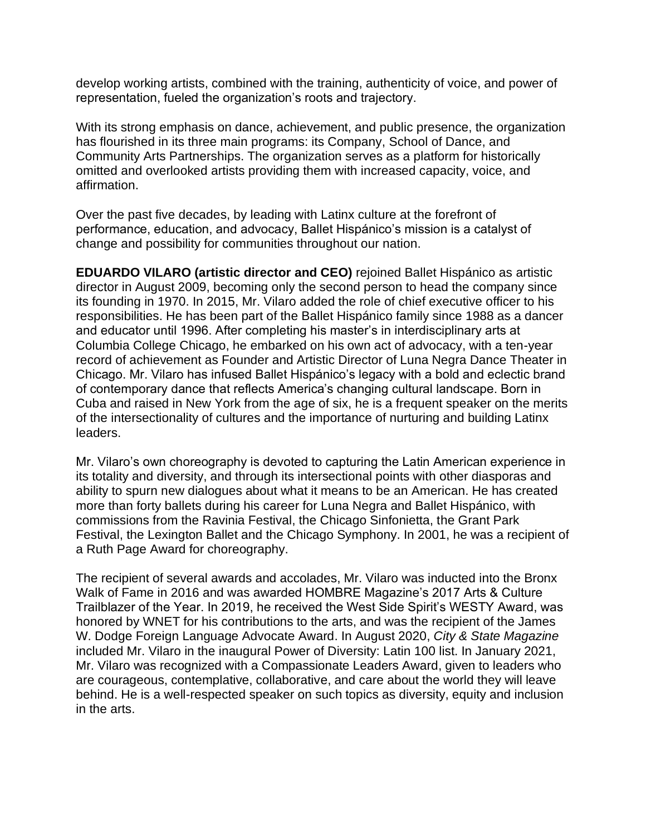develop working artists, combined with the training, authenticity of voice, and power of representation, fueled the organization's roots and trajectory.

With its strong emphasis on dance, achievement, and public presence, the organization has flourished in its three main programs: its Company, School of Dance, and Community Arts Partnerships. The organization serves as a platform for historically omitted and overlooked artists providing them with increased capacity, voice, and affirmation.

Over the past five decades, by leading with Latinx culture at the forefront of performance, education, and advocacy, Ballet Hispánico's mission is a catalyst of change and possibility for communities throughout our nation.

**EDUARDO VILARO (artistic director and CEO)** rejoined Ballet Hispánico as artistic director in August 2009, becoming only the second person to head the company since its founding in 1970. In 2015, Mr. Vilaro added the role of chief executive officer to his responsibilities. He has been part of the Ballet Hispánico family since 1988 as a dancer and educator until 1996. After completing his master's in interdisciplinary arts at Columbia College Chicago, he embarked on his own act of advocacy, with a ten-year record of achievement as Founder and Artistic Director of Luna Negra Dance Theater in Chicago. Mr. Vilaro has infused Ballet Hispánico's legacy with a bold and eclectic brand of contemporary dance that reflects America's changing cultural landscape. Born in Cuba and raised in New York from the age of six, he is a frequent speaker on the merits of the intersectionality of cultures and the importance of nurturing and building Latinx leaders.

Mr. Vilaro's own choreography is devoted to capturing the Latin American experience in its totality and diversity, and through its intersectional points with other diasporas and ability to spurn new dialogues about what it means to be an American. He has created more than forty ballets during his career for Luna Negra and Ballet Hispánico, with commissions from the Ravinia Festival, the Chicago Sinfonietta, the Grant Park Festival, the Lexington Ballet and the Chicago Symphony. In 2001, he was a recipient of a Ruth Page Award for choreography.

The recipient of several awards and accolades, Mr. Vilaro was inducted into the Bronx Walk of Fame in 2016 and was awarded HOMBRE Magazine's 2017 Arts & Culture Trailblazer of the Year. In 2019, he received the West Side Spirit's WESTY Award, was honored by WNET for his contributions to the arts, and was the recipient of the James W. Dodge Foreign Language Advocate Award. In August 2020, *City & State Magazine* included Mr. Vilaro in the inaugural Power of Diversity: Latin 100 list. In January 2021, Mr. Vilaro was recognized with a Compassionate Leaders Award, given to leaders who are courageous, contemplative, collaborative, and care about the world they will leave behind. He is a well-respected speaker on such topics as diversity, equity and inclusion in the arts.